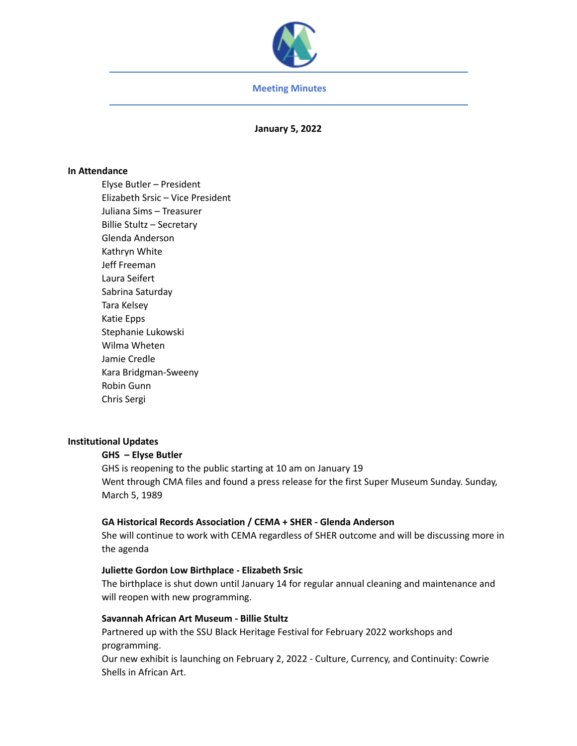

## **Meeting Minutes**

**January 5, 2022**

## **In Attendance**

Elyse Butler – President Elizabeth Srsic – Vice President Juliana Sims – Treasurer Billie Stultz – Secretary Glenda Anderson Kathryn White Jeff Freeman Laura Seifert Sabrina Saturday Tara Kelsey Katie Epps Stephanie Lukowski Wilma Wheten Jamie Credle Kara Bridgman-Sweeny Robin Gunn Chris Sergi

# **Institutional Updates**

### **GHS – Elyse Butler**

GHS is reopening to the public starting at 10 am on January 19 Went through CMA files and found a press release for the first Super Museum Sunday. Sunday, March 5, 1989

# **GA Historical Records Association / CEMA + SHER - Glenda Anderson**

She will continue to work with CEMA regardless of SHER outcome and will be discussing more in the agenda

### **Juliette Gordon Low Birthplace - Elizabeth Srsic**

The birthplace is shut down until January 14 for regular annual cleaning and maintenance and will reopen with new programming.

# **Savannah African Art Museum - Billie Stultz**

Partnered up with the SSU Black Heritage Festival for February 2022 workshops and programming.

Our new exhibit is launching on February 2, 2022 - Culture, Currency, and Continuity: Cowrie Shells in African Art.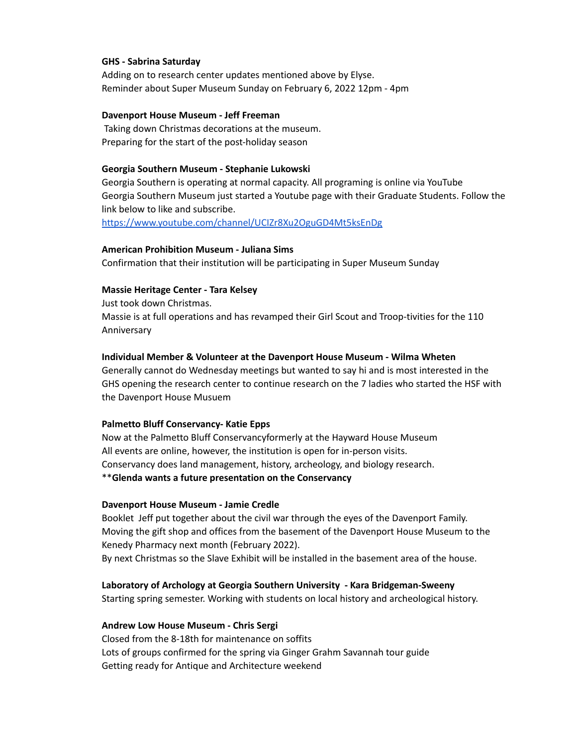### **GHS - Sabrina Saturday**

Adding on to research center updates mentioned above by Elyse. Reminder about Super Museum Sunday on February 6, 2022 12pm - 4pm

### **Davenport House Museum - Jeff Freeman**

Taking down Christmas decorations at the museum. Preparing for the start of the post-holiday season

#### **Georgia Southern Museum - Stephanie Lukowski**

Georgia Southern is operating at normal capacity. All programing is online via YouTube Georgia Southern Museum just started a Youtube page with their Graduate Students. Follow the link below to like and subscribe.

<https://www.youtube.com/channel/UCIZr8Xu2OguGD4Mt5ksEnDg>

#### **American Prohibition Museum - Juliana Sims**

Confirmation that their institution will be participating in Super Museum Sunday

### **Massie Heritage Center - Tara Kelsey**

Just took down Christmas. Massie is at full operations and has revamped their Girl Scout and Troop-tivities for the 110 Anniversary

#### **Individual Member & Volunteer at the Davenport House Museum - Wilma Wheten**

Generally cannot do Wednesday meetings but wanted to say hi and is most interested in the GHS opening the research center to continue research on the 7 ladies who started the HSF with the Davenport House Musuem

#### **Palmetto Bluff Conservancy- Katie Epps**

Now at the Palmetto Bluff Conservancyformerly at the Hayward House Museum All events are online, however, the institution is open for in-person visits. Conservancy does land management, history, archeology, and biology research. \*\***Glenda wants a future presentation on the Conservancy**

#### **Davenport House Museum - Jamie Credle**

Booklet Jeff put together about the civil war through the eyes of the Davenport Family. Moving the gift shop and offices from the basement of the Davenport House Museum to the Kenedy Pharmacy next month (February 2022).

By next Christmas so the Slave Exhibit will be installed in the basement area of the house.

### **Laboratory of Archology at Georgia Southern University - Kara Bridgeman-Sweeny**

Starting spring semester. Working with students on local history and archeological history.

#### **Andrew Low House Museum - Chris Sergi**

Closed from the 8-18th for maintenance on soffits Lots of groups confirmed for the spring via Ginger Grahm Savannah tour guide Getting ready for Antique and Architecture weekend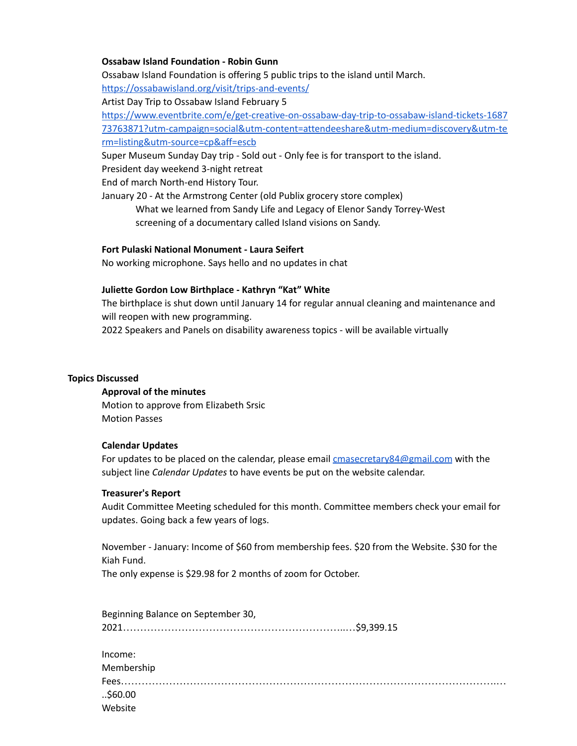# **Ossabaw Island Foundation - Robin Gunn**

Ossabaw Island Foundation is offering 5 public trips to the island until March.

<https://ossabawisland.org/visit/trips-and-events/>

Artist Day Trip to Ossabaw Island February 5

[https://www.eventbrite.com/e/get-creative-on-ossabaw-day-trip-to-ossabaw-island-tickets-1687](https://www.eventbrite.com/e/get-creative-on-ossabaw-day-trip-to-ossabaw-island-tickets-168773763871?utm-campaign=social&utm-content=attendeeshare&utm-medium=discovery&utm-term=listing&utm-source=cp&aff=escb) [73763871?utm-campaign=social&utm-content=attendeeshare&utm-medium=discovery&utm-te](https://www.eventbrite.com/e/get-creative-on-ossabaw-day-trip-to-ossabaw-island-tickets-168773763871?utm-campaign=social&utm-content=attendeeshare&utm-medium=discovery&utm-term=listing&utm-source=cp&aff=escb) [rm=listing&utm-source=cp&aff=escb](https://www.eventbrite.com/e/get-creative-on-ossabaw-day-trip-to-ossabaw-island-tickets-168773763871?utm-campaign=social&utm-content=attendeeshare&utm-medium=discovery&utm-term=listing&utm-source=cp&aff=escb)

Super Museum Sunday Day trip - Sold out - Only fee is for transport to the island.

President day weekend 3-night retreat

End of march North-end History Tour.

January 20 - At the Armstrong Center (old Publix grocery store complex)

What we learned from Sandy Life and Legacy of Elenor Sandy Torrey-West screening of a documentary called Island visions on Sandy.

## **Fort Pulaski National Monument - Laura Seifert**

No working microphone. Says hello and no updates in chat

## **Juliette Gordon Low Birthplace - Kathryn "Kat" White**

The birthplace is shut down until January 14 for regular annual cleaning and maintenance and will reopen with new programming.

2022 Speakers and Panels on disability awareness topics - will be available virtually

# **Topics Discussed**

### **Approval of the minutes**

Motion to approve from Elizabeth Srsic Motion Passes

### **Calendar Updates**

For updates to be placed on the calendar, please email **[cmasecretary84@gmail.com](mailto:cmasecretary84@gmail.com)** with the subject line *Calendar Updates* to have events be put on the website calendar.

### **Treasurer's Report**

Audit Committee Meeting scheduled for this month. Committee members check your email for updates. Going back a few years of logs.

November - January: Income of \$60 from membership fees. \$20 from the Website. \$30 for the Kiah Fund.

The only expense is \$29.98 for 2 months of zoom for October.

| Beginning Balance on September 30, |  |
|------------------------------------|--|
|                                    |  |
|                                    |  |
| Income:                            |  |
| Membership                         |  |
|                                    |  |
| \$60.00<br>Website                 |  |
|                                    |  |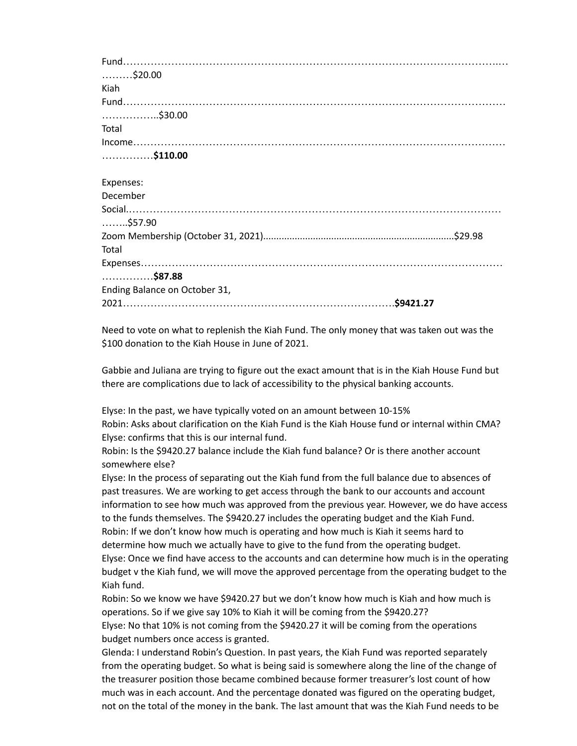Fund……………………………………………………………………………………………….… ………\$20.00 Kiah Fund………………………………………………………………………………………………… ……………..\$30.00 Total Income……………………………………………………………………………………………… ……………**\$110.00** Expenses: December Social.……………………………………………………………………………………………… ……..\$57.90 Zoom Membership (October 31, 2021).........................................................................\$29.98 Total Expenses…………………………………………………………………………………………… ……………**\$87.88** Ending Balance on October 31, 2021…………………………………………………………………….**\$9421.27**

Need to vote on what to replenish the Kiah Fund. The only money that was taken out was the \$100 donation to the Kiah House in June of 2021.

Gabbie and Juliana are trying to figure out the exact amount that is in the Kiah House Fund but there are complications due to lack of accessibility to the physical banking accounts.

Elyse: In the past, we have typically voted on an amount between 10-15% Robin: Asks about clarification on the Kiah Fund is the Kiah House fund or internal within CMA? Elyse: confirms that this is our internal fund.

Robin: Is the \$9420.27 balance include the Kiah fund balance? Or is there another account somewhere else?

Elyse: In the process of separating out the Kiah fund from the full balance due to absences of past treasures. We are working to get access through the bank to our accounts and account information to see how much was approved from the previous year. However, we do have access to the funds themselves. The \$9420.27 includes the operating budget and the Kiah Fund. Robin: If we don't know how much is operating and how much is Kiah it seems hard to determine how much we actually have to give to the fund from the operating budget. Elyse: Once we find have access to the accounts and can determine how much is in the operating budget v the Kiah fund, we will move the approved percentage from the operating budget to the Kiah fund.

Robin: So we know we have \$9420.27 but we don't know how much is Kiah and how much is operations. So if we give say 10% to Kiah it will be coming from the \$9420.27? Elyse: No that 10% is not coming from the \$9420.27 it will be coming from the operations budget numbers once access is granted.

Glenda: I understand Robin's Question. In past years, the Kiah Fund was reported separately from the operating budget. So what is being said is somewhere along the line of the change of the treasurer position those became combined because former treasurer's lost count of how much was in each account. And the percentage donated was figured on the operating budget, not on the total of the money in the bank. The last amount that was the Kiah Fund needs to be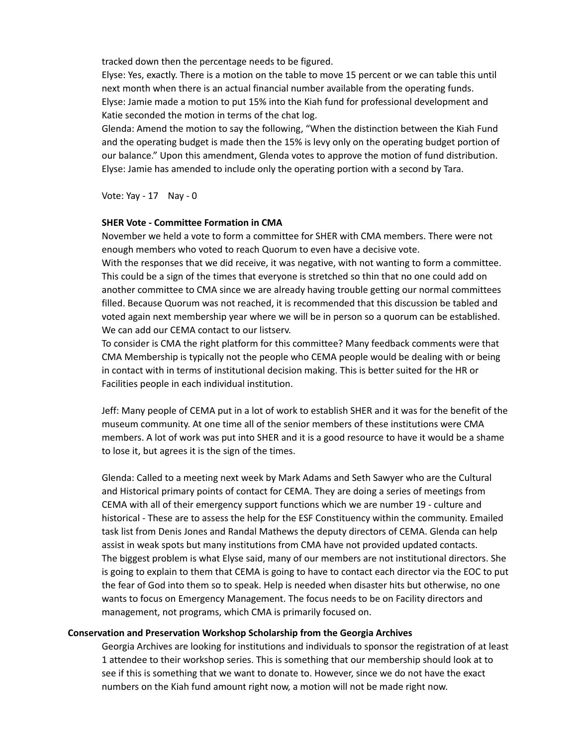tracked down then the percentage needs to be figured.

Elyse: Yes, exactly. There is a motion on the table to move 15 percent or we can table this until next month when there is an actual financial number available from the operating funds. Elyse: Jamie made a motion to put 15% into the Kiah fund for professional development and Katie seconded the motion in terms of the chat log.

Glenda: Amend the motion to say the following, "When the distinction between the Kiah Fund and the operating budget is made then the 15% is levy only on the operating budget portion of our balance." Upon this amendment, Glenda votes to approve the motion of fund distribution. Elyse: Jamie has amended to include only the operating portion with a second by Tara.

Vote: Yay - 17 Nay - 0

# **SHER Vote - Committee Formation in CMA**

November we held a vote to form a committee for SHER with CMA members. There were not enough members who voted to reach Quorum to even have a decisive vote.

With the responses that we did receive, it was negative, with not wanting to form a committee. This could be a sign of the times that everyone is stretched so thin that no one could add on another committee to CMA since we are already having trouble getting our normal committees filled. Because Quorum was not reached, it is recommended that this discussion be tabled and voted again next membership year where we will be in person so a quorum can be established. We can add our CEMA contact to our listserv.

To consider is CMA the right platform for this committee? Many feedback comments were that CMA Membership is typically not the people who CEMA people would be dealing with or being in contact with in terms of institutional decision making. This is better suited for the HR or Facilities people in each individual institution.

Jeff: Many people of CEMA put in a lot of work to establish SHER and it was for the benefit of the museum community. At one time all of the senior members of these institutions were CMA members. A lot of work was put into SHER and it is a good resource to have it would be a shame to lose it, but agrees it is the sign of the times.

Glenda: Called to a meeting next week by Mark Adams and Seth Sawyer who are the Cultural and Historical primary points of contact for CEMA. They are doing a series of meetings from CEMA with all of their emergency support functions which we are number 19 - culture and historical - These are to assess the help for the ESF Constituency within the community. Emailed task list from Denis Jones and Randal Mathews the deputy directors of CEMA. Glenda can help assist in weak spots but many institutions from CMA have not provided updated contacts. The biggest problem is what Elyse said, many of our members are not institutional directors. She is going to explain to them that CEMA is going to have to contact each director via the EOC to put the fear of God into them so to speak. Help is needed when disaster hits but otherwise, no one wants to focus on Emergency Management. The focus needs to be on Facility directors and management, not programs, which CMA is primarily focused on.

# **Conservation and Preservation Workshop Scholarship from the Georgia Archives**

Georgia Archives are looking for institutions and individuals to sponsor the registration of at least 1 attendee to their workshop series. This is something that our membership should look at to see if this is something that we want to donate to. However, since we do not have the exact numbers on the Kiah fund amount right now, a motion will not be made right now.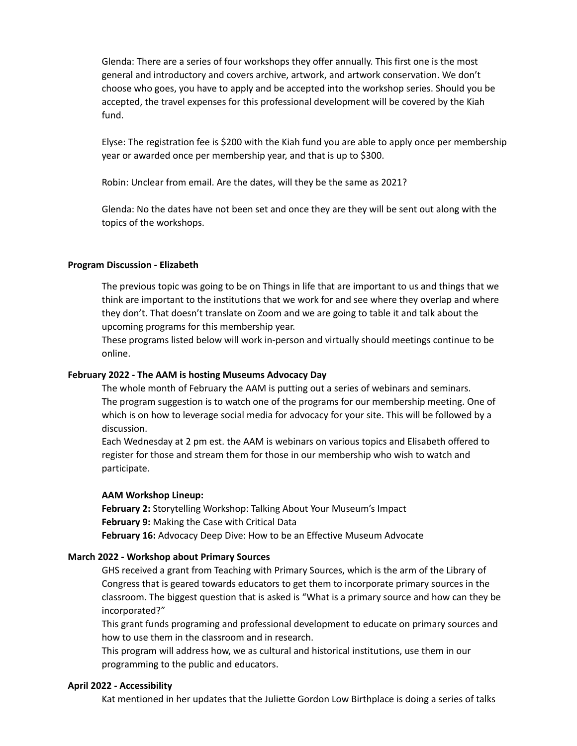Glenda: There are a series of four workshops they offer annually. This first one is the most general and introductory and covers archive, artwork, and artwork conservation. We don't choose who goes, you have to apply and be accepted into the workshop series. Should you be accepted, the travel expenses for this professional development will be covered by the Kiah fund.

Elyse: The registration fee is \$200 with the Kiah fund you are able to apply once per membership year or awarded once per membership year, and that is up to \$300.

Robin: Unclear from email. Are the dates, will they be the same as 2021?

Glenda: No the dates have not been set and once they are they will be sent out along with the topics of the workshops.

## **Program Discussion - Elizabeth**

The previous topic was going to be on Things in life that are important to us and things that we think are important to the institutions that we work for and see where they overlap and where they don't. That doesn't translate on Zoom and we are going to table it and talk about the upcoming programs for this membership year.

These programs listed below will work in-person and virtually should meetings continue to be online.

### **February 2022 - The AAM is hosting Museums Advocacy Day**

The whole month of February the AAM is putting out a series of webinars and seminars. The program suggestion is to watch one of the programs for our membership meeting. One of which is on how to leverage social media for advocacy for your site. This will be followed by a discussion.

Each Wednesday at 2 pm est. the AAM is webinars on various topics and Elisabeth offered to register for those and stream them for those in our membership who wish to watch and participate.

### **AAM Workshop Lineup:**

**February 2:** Storytelling Workshop: Talking About Your Museum's Impact **February 9:** Making the Case with Critical Data **February 16:** Advocacy Deep Dive: How to be an Effective Museum Advocate

### **March 2022 - Workshop about Primary Sources**

GHS received a grant from Teaching with Primary Sources, which is the arm of the Library of Congress that is geared towards educators to get them to incorporate primary sources in the classroom. The biggest question that is asked is "What is a primary source and how can they be incorporated?"

This grant funds programing and professional development to educate on primary sources and how to use them in the classroom and in research.

This program will address how, we as cultural and historical institutions, use them in our programming to the public and educators.

### **April 2022 - Accessibility**

Kat mentioned in her updates that the Juliette Gordon Low Birthplace is doing a series of talks